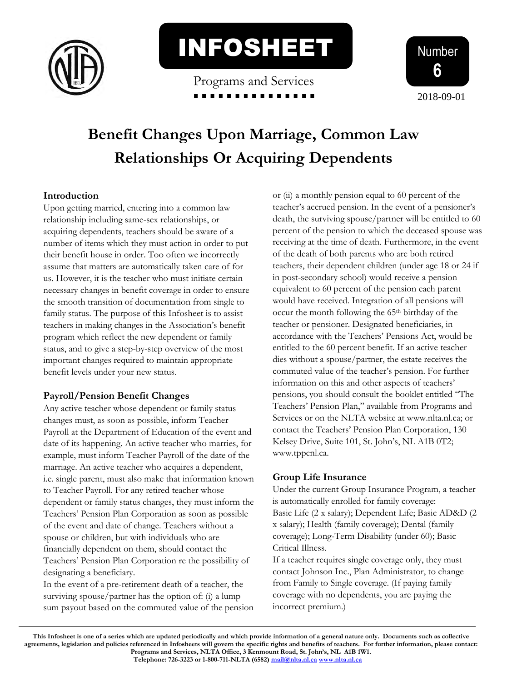

INFOSHEET

Programs and Services



# **Benefit Changes Upon Marriage, Common Law Relationships Or Acquiring Dependents**

#### **Introduction**

Upon getting married, entering into a common law relationship including same-sex relationships, or acquiring dependents, teachers should be aware of a number of items which they must action in order to put their benefit house in order. Too often we incorrectly assume that matters are automatically taken care of for us. However, it is the teacher who must initiate certain necessary changes in benefit coverage in order to ensure the smooth transition of documentation from single to family status. The purpose of this Infosheet is to assist teachers in making changes in the Association's benefit program which reflect the new dependent or family status, and to give a step-by-step overview of the most important changes required to maintain appropriate benefit levels under your new status.

#### **Payroll/Pension Benefit Changes**

Any active teacher whose dependent or family status changes must, as soon as possible, inform Teacher Payroll at the Department of Education of the event and date of its happening. An active teacher who marries, for example, must inform Teacher Payroll of the date of the marriage. An active teacher who acquires a dependent, i.e. single parent, must also make that information known to Teacher Payroll. For any retired teacher whose dependent or family status changes, they must inform the Teachers' Pension Plan Corporation as soon as possible of the event and date of change. Teachers without a spouse or children, but with individuals who are financially dependent on them, should contact the Teachers' Pension Plan Corporation re the possibility of designating a beneficiary.

In the event of a pre-retirement death of a teacher, the surviving spouse/partner has the option of: (i) a lump sum payout based on the commuted value of the pension or (ii) a monthly pension equal to 60 percent of the teacher's accrued pension. In the event of a pensioner's death, the surviving spouse/partner will be entitled to 60 percent of the pension to which the deceased spouse was receiving at the time of death. Furthermore, in the event of the death of both parents who are both retired teachers, their dependent children (under age 18 or 24 if in post-secondary school) would receive a pension equivalent to 60 percent of the pension each parent would have received. Integration of all pensions will occur the month following the 65th birthday of the teacher or pensioner. Designated beneficiaries, in accordance with the Teachers' Pensions Act, would be entitled to the 60 percent benefit. If an active teacher dies without a spouse/partner, the estate receives the commuted value of the teacher's pension. For further information on this and other aspects of teachers' pensions, you should consult the booklet entitled "The Teachers' Pension Plan," available from Programs and Services or on the NLTA website at www.nlta.nl.ca; or contact the Teachers' Pension Plan Corporation, 130 Kelsey Drive, Suite 101, St. John's, NL A1B 0T2; www.tppcnl.ca.

## **Group Life Insurance**

Under the current Group Insurance Program, a teacher is automatically enrolled for family coverage: Basic Life (2 x salary); Dependent Life; Basic AD&D (2 x salary); Health (family coverage); Dental (family coverage); Long-Term Disability (under 60); Basic Critical Illness.

If a teacher requires single coverage only, they must contact Johnson Inc., Plan Administrator, to change from Family to Single coverage. (If paying family coverage with no dependents, you are paying the incorrect premium.)

**This Infosheet is one of a series which are updated periodically and which provide information of a general nature only. Documents such as collective agreements, legislation and policies referenced in Infosheets will govern the specific rights and benefits of teachers. For further information, please contact: Programs and Services, NLTA Office, 3 Kenmount Road, St. John's, NL A1B 1W1. Telephone: 726-3223 or 1-800-711-NLTA (6582[\) mail@nlta.nl.ca](mailto:mail@nlta.nl.ca) [www.nlta.nl.ca](http://www.nlta.nl.ca/)**